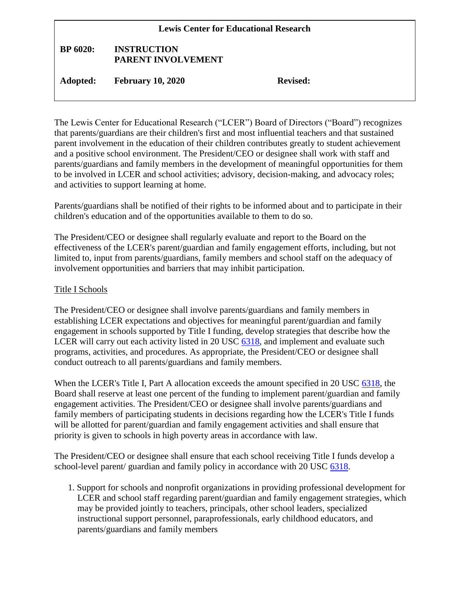| <b>Lewis Center for Educational Research</b> |                                          |                 |  |
|----------------------------------------------|------------------------------------------|-----------------|--|
| <b>BP</b> 6020:                              | <b>INSTRUCTION</b><br>PARENT INVOLVEMENT |                 |  |
| <b>Adopted:</b>                              | <b>February 10, 2020</b>                 | <b>Revised:</b> |  |

The Lewis Center for Educational Research ("LCER") Board of Directors ("Board") recognizes that parents/guardians are their children's first and most influential teachers and that sustained parent involvement in the education of their children contributes greatly to student achievement and a positive school environment. The President/CEO or designee shall work with staff and parents/guardians and family members in the development of meaningful opportunities for them to be involved in LCER and school activities; advisory, decision-making, and advocacy roles; and activities to support learning at home.

Parents/guardians shall be notified of their rights to be informed about and to participate in their children's education and of the opportunities available to them to do so.

The President/CEO or designee shall regularly evaluate and report to the Board on the effectiveness of the LCER's parent/guardian and family engagement efforts, including, but not limited to, input from parents/guardians, family members and school staff on the adequacy of involvement opportunities and barriers that may inhibit participation.

## Title I Schools

The President/CEO or designee shall involve parents/guardians and family members in establishing LCER expectations and objectives for meaningful parent/guardian and family engagement in schools supported by Title I funding, develop strategies that describe how the LCER will carry out each activity listed in 20 USC [6318,](http://gamutonline.net/displayPolicy/302984/6) and implement and evaluate such programs, activities, and procedures. As appropriate, the President/CEO or designee shall conduct outreach to all parents/guardians and family members.

When the LCER's Title I, Part A allocation exceeds the amount specified in 20 USC [6318,](http://gamutonline.net/displayPolicy/302984/6) the Board shall reserve at least one percent of the funding to implement parent/guardian and family engagement activities. The President/CEO or designee shall involve parents/guardians and family members of participating students in decisions regarding how the LCER's Title I funds will be allotted for parent/guardian and family engagement activities and shall ensure that priority is given to schools in high poverty areas in accordance with law.

The President/CEO or designee shall ensure that each school receiving Title I funds develop a school-level parent/ guardian and family policy in accordance with 20 USC [6318.](http://gamutonline.net/displayPolicy/302984/6)

1. Support for schools and nonprofit organizations in providing professional development for LCER and school staff regarding parent/guardian and family engagement strategies, which may be provided jointly to teachers, principals, other school leaders, specialized instructional support personnel, paraprofessionals, early childhood educators, and parents/guardians and family members